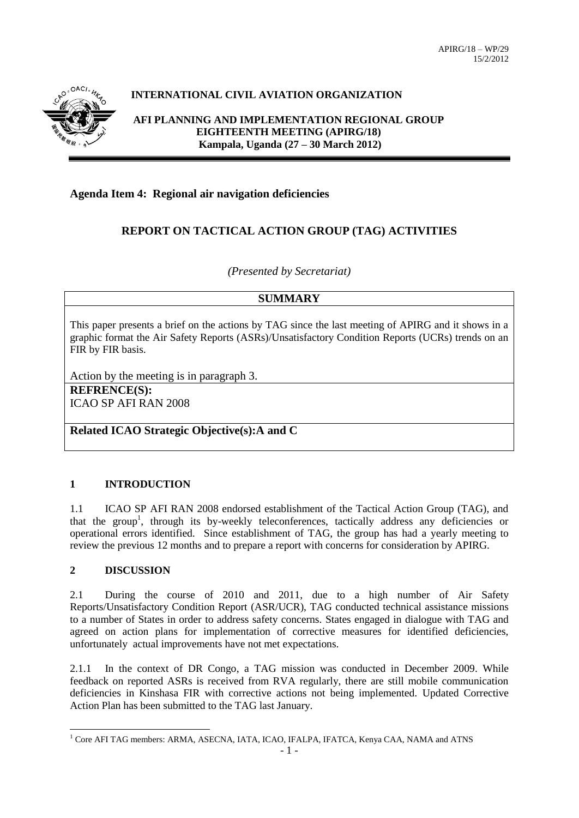

# **INTERNATIONAL CIVIL AVIATION ORGANIZATION**

**AFI PLANNING AND IMPLEMENTATION REGIONAL GROUP EIGHTEENTH MEETING (APIRG/18) Kampala, Uganda (27 – 30 March 2012)**

## **Agenda Item 4: Regional air navigation deficiencies**

## **REPORT ON TACTICAL ACTION GROUP (TAG) ACTIVITIES**

*(Presented by Secretariat)*

## **SUMMARY**

This paper presents a brief on the actions by TAG since the last meeting of APIRG and it shows in a graphic format the Air Safety Reports (ASRs)/Unsatisfactory Condition Reports (UCRs) trends on an FIR by FIR basis.

Action by the meeting is in paragraph 3.

**REFRENCE(S):** ICAO SP AFI RAN 2008

**Related ICAO Strategic Objective(s):A and C**

### **1 INTRODUCTION**

1.1 ICAO SP AFI RAN 2008 endorsed establishment of the Tactical Action Group (TAG), and that the group<sup>1</sup>, through its by-weekly teleconferences, tactically address any deficiencies or operational errors identified. Since establishment of TAG, the group has had a yearly meeting to review the previous 12 months and to prepare a report with concerns for consideration by APIRG.

#### **2 DISCUSSION**

2.1 During the course of 2010 and 2011, due to a high number of Air Safety Reports/Unsatisfactory Condition Report (ASR/UCR), TAG conducted technical assistance missions to a number of States in order to address safety concerns. States engaged in dialogue with TAG and agreed on action plans for implementation of corrective measures for identified deficiencies, unfortunately actual improvements have not met expectations.

2.1.1 In the context of DR Congo, a TAG mission was conducted in December 2009. While feedback on reported ASRs is received from RVA regularly, there are still mobile communication deficiencies in Kinshasa FIR with corrective actions not being implemented. Updated Corrective Action Plan has been submitted to the TAG last January.

<sup>-</sup><sup>1</sup> Core AFI TAG members: ARMA, ASECNA, IATA, ICAO, IFALPA, IFATCA, Kenya CAA, NAMA and ATNS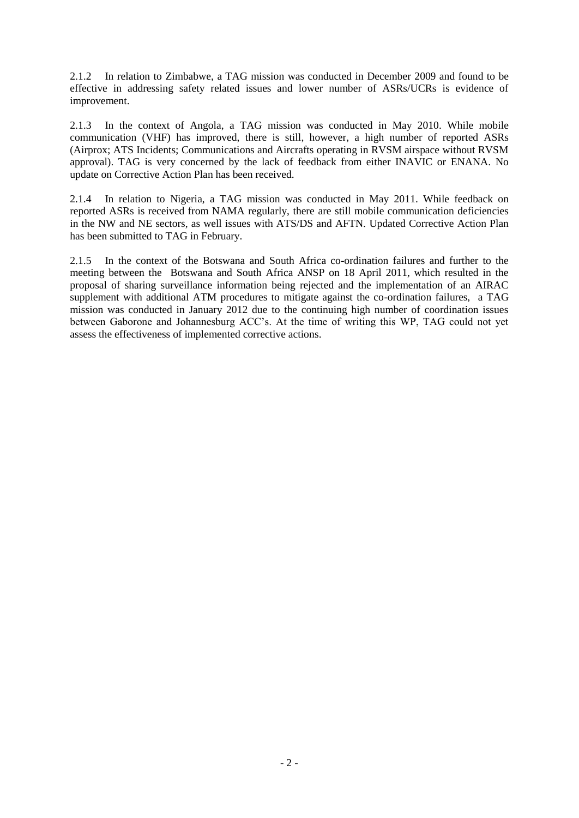2.1.2 In relation to Zimbabwe, a TAG mission was conducted in December 2009 and found to be effective in addressing safety related issues and lower number of ASRs/UCRs is evidence of improvement.

2.1.3 In the context of Angola, a TAG mission was conducted in May 2010. While mobile communication (VHF) has improved, there is still, however, a high number of reported ASRs (Airprox; ATS Incidents; Communications and Aircrafts operating in RVSM airspace without RVSM approval). TAG is very concerned by the lack of feedback from either INAVIC or ENANA. No update on Corrective Action Plan has been received.

2.1.4 In relation to Nigeria, a TAG mission was conducted in May 2011. While feedback on reported ASRs is received from NAMA regularly, there are still mobile communication deficiencies in the NW and NE sectors, as well issues with ATS/DS and AFTN. Updated Corrective Action Plan has been submitted to TAG in February.

2.1.5 In the context of the Botswana and South Africa co-ordination failures and further to the meeting between the Botswana and South Africa ANSP on 18 April 2011, which resulted in the proposal of sharing surveillance information being rejected and the implementation of an AIRAC supplement with additional ATM procedures to mitigate against the co-ordination failures, a TAG mission was conducted in January 2012 due to the continuing high number of coordination issues between Gaborone and Johannesburg ACC's. At the time of writing this WP, TAG could not yet assess the effectiveness of implemented corrective actions.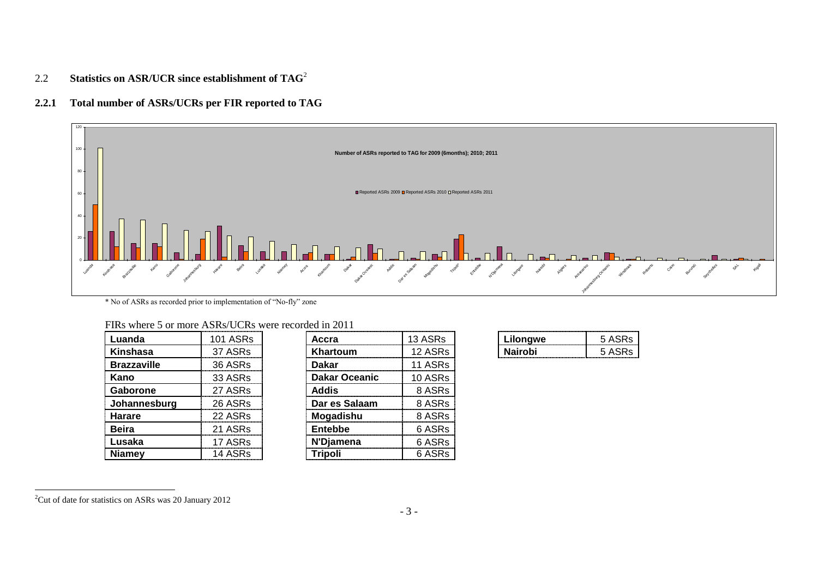# 2.2 **Statistics on ASR/UCR since establishment of TAG**<sup>2</sup>

## **2.2.1 Total number of ASRs/UCRs per FIR reported to TAG**



\* No of ASRs as recorded prior to implementation of "No-fly" zone

| FIRs where 5 or more ASRs/UCRs were recorded in 2011 |  |  |
|------------------------------------------------------|--|--|
|------------------------------------------------------|--|--|

| Luanda             | 101 ASRs | Accra                | 13 ASRs | Lilongwe       | 5 ASRs |
|--------------------|----------|----------------------|---------|----------------|--------|
| Kinshasa           | 37 ASRs  | Khartoum             | 12 ASRs | <b>Nairobi</b> | 5 ASRs |
| <b>Brazzaville</b> | 36 ASRs  | <b>Dakar</b>         | 11 ASRs |                |        |
| Kano               | 33 ASRs  | <b>Dakar Oceanic</b> | 10 ASRs |                |        |
| Gaborone           | 27 ASRs  | Addis                | 8 ASRs  |                |        |
| Johannesburg       | 26 ASRs  | Dar es Salaam        | 8 ASRs  |                |        |
| Harare             | 22 ASRs  | Mogadishu            | 8 ASRs  |                |        |
| <b>Beira</b>       | 21 ASRs  | Entebbe              | 6 ASRs  |                |        |
| Lusaka             | 17 ASRs  | N'Diamena            | 6 ASRs  |                |        |
| <b>Niamey</b>      | 14 ASRs  | <b>Tripoli</b>       | 6 ASRs  |                |        |

| Accra                | 13 ASRs |  |  |  |
|----------------------|---------|--|--|--|
| Khartoum             | 12 ASRs |  |  |  |
| Dakar                | 11 ASRs |  |  |  |
| <b>Dakar Oceanic</b> | 10 ASRs |  |  |  |
| Addis                | 8 ASRs  |  |  |  |
| Dar es Salaam        | 8 ASRs  |  |  |  |
| Mogadishu            | 8 ASRs  |  |  |  |
| <b>Entebbe</b>       | 6 ASRs  |  |  |  |
| N'Djamena            | 6 ASRs  |  |  |  |
| <b>Tripoli</b>       | 6 ASRs  |  |  |  |

-

 $2^2$ Cut of date for statistics on ASRs was 20 January 2012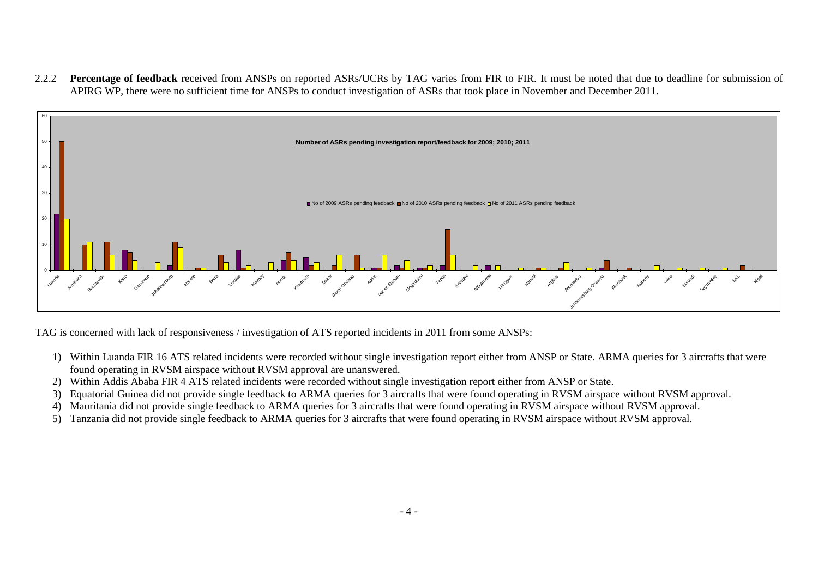2.2.2 **Percentage of feedback** received from ANSPs on reported ASRs/UCRs by TAG varies from FIR to FIR. It must be noted that due to deadline for submission of APIRG WP, there were no sufficient time for ANSPs to conduct investigation of ASRs that took place in November and December 2011.



TAG is concerned with lack of responsiveness / investigation of ATS reported incidents in 2011 from some ANSPs:

- 1) Within Luanda FIR 16 ATS related incidents were recorded without single investigation report either from ANSP or State. ARMA queries for 3 aircrafts that were found operating in RVSM airspace without RVSM approval are unanswered.
- 2) Within Addis Ababa FIR 4 ATS related incidents were recorded without single investigation report either from ANSP or State.
- 3) Equatorial Guinea did not provide single feedback to ARMA queries for 3 aircrafts that were found operating in RVSM airspace without RVSM approval.
- 4) Mauritania did not provide single feedback to ARMA queries for 3 aircrafts that were found operating in RVSM airspace without RVSM approval.
- 5) Tanzania did not provide single feedback to ARMA queries for 3 aircrafts that were found operating in RVSM airspace without RVSM approval.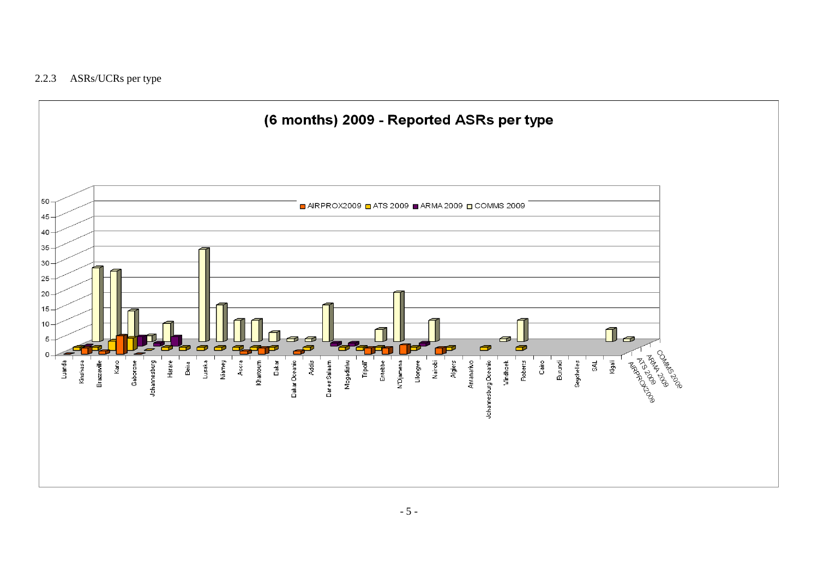## 2.2.3 ASRs/UCRs per type

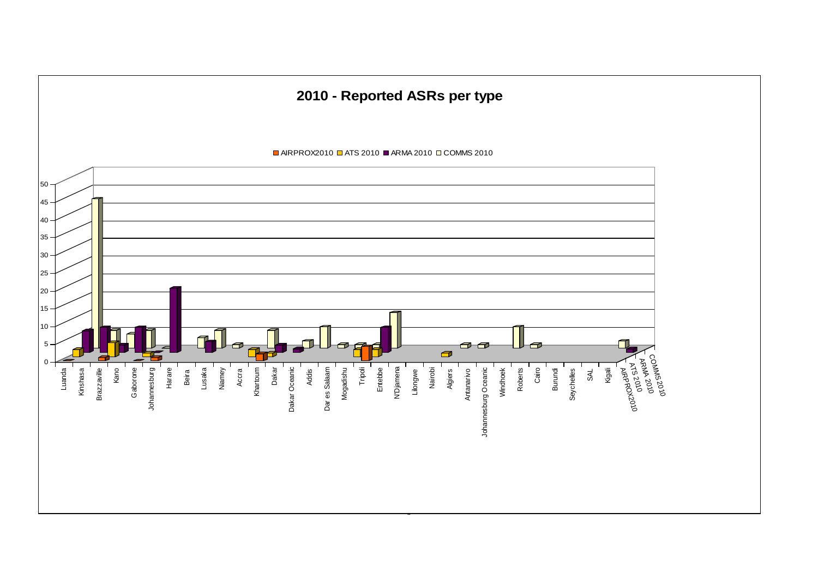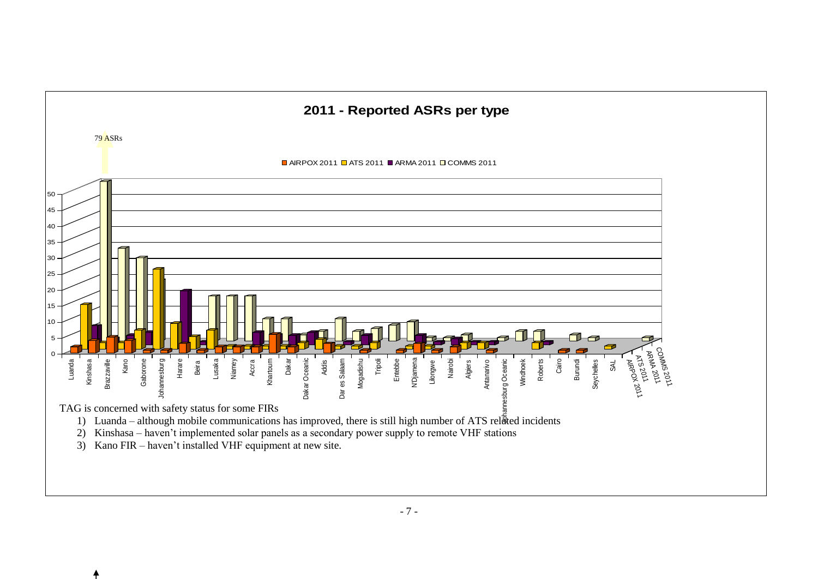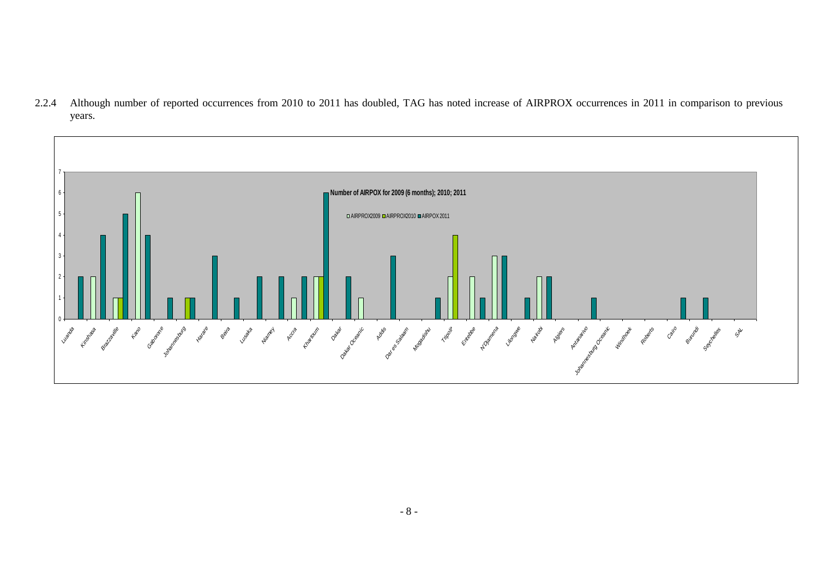2.2.4 Although number of reported occurrences from 2010 to 2011 has doubled, TAG has noted increase of AIRPROX occurrences in 2011 in comparison to previous years.